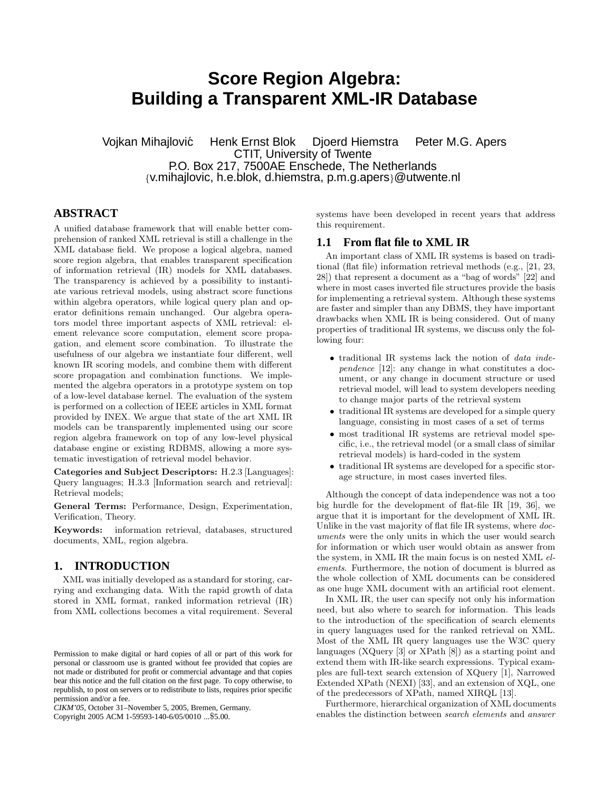# **Score Region Algebra: Building a Transparent XML-IR Database**

Vojkan Mihajlovic´ Henk Ernst Blok Djoerd Hiemstra Peter M.G. Apers CTIT, University of Twente P.O. Box 217, 7500AE Enschede, The Netherlands {v.mihajlovic, h.e.blok, d.hiemstra, p.m.g.apers}@utwente.nl

# **ABSTRACT**

A unified database framework that will enable better comprehension of ranked XML retrieval is still a challenge in the XML database field. We propose a logical algebra, named score region algebra, that enables transparent specification of information retrieval (IR) models for XML databases. The transparency is achieved by a possibility to instantiate various retrieval models, using abstract score functions within algebra operators, while logical query plan and operator definitions remain unchanged. Our algebra operators model three important aspects of XML retrieval: element relevance score computation, element score propagation, and element score combination. To illustrate the usefulness of our algebra we instantiate four different, well known IR scoring models, and combine them with different score propagation and combination functions. We implemented the algebra operators in a prototype system on top of a low-level database kernel. The evaluation of the system is performed on a collection of IEEE articles in XML format provided by INEX. We argue that state of the art XML IR models can be transparently implemented using our score region algebra framework on top of any low-level physical database engine or existing RDBMS, allowing a more systematic investigation of retrieval model behavior.

Categories and Subject Descriptors: H.2.3 [Languages]: Query languages; H.3.3 [Information search and retrieval]: Retrieval models;

General Terms: Performance, Design, Experimentation, Verification, Theory.

Keywords: information retrieval, databases, structured documents, XML, region algebra.

# **1. INTRODUCTION**

XML was initially developed as a standard for storing, carrying and exchanging data. With the rapid growth of data stored in XML format, ranked information retrieval (IR) from XML collections becomes a vital requirement. Several

*CIKM'05,* October 31–November 5, 2005, Bremen, Germany.

Copyright 2005 ACM 1-59593-140-6/05/0010 ...\$5.00.

systems have been developed in recent years that address this requirement.

# **1.1 From flat file to XML IR**

An important class of XML IR systems is based on traditional (flat file) information retrieval methods (e.g., [21, 23, 28]) that represent a document as a "bag of words" [22] and where in most cases inverted file structures provide the basis for implementing a retrieval system. Although these systems are faster and simpler than any DBMS, they have important drawbacks when XML IR is being considered. Out of many properties of traditional IR systems, we discuss only the following four:

- traditional IR systems lack the notion of data independence [12]: any change in what constitutes a document, or any change in document structure or used retrieval model, will lead to system developers needing to change major parts of the retrieval system
- traditional IR systems are developed for a simple query language, consisting in most cases of a set of terms
- most traditional IR systems are retrieval model specific, i.e., the retrieval model (or a small class of similar retrieval models) is hard-coded in the system
- traditional IR systems are developed for a specific storage structure, in most cases inverted files.

Although the concept of data independence was not a too big hurdle for the development of flat-file IR [19, 36], we argue that it is important for the development of XML IR. Unlike in the vast majority of flat file IR systems, where  $doc$ uments were the only units in which the user would search for information or which user would obtain as answer from the system, in XML IR the main focus is on nested XML elements. Furthermore, the notion of document is blurred as the whole collection of XML documents can be considered as one huge XML document with an artificial root element.

In XML IR, the user can specify not only his information need, but also where to search for information. This leads to the introduction of the specification of search elements in query languages used for the ranked retrieval on XML. Most of the XML IR query languages use the W3C query languages (XQuery [3] or XPath [8]) as a starting point and extend them with IR-like search expressions. Typical examples are full-text search extension of XQuery [1], Narrowed Extended XPath (NEXI) [33], and an extension of XQL, one of the predecessors of XPath, named XIRQL [13].

Furthermore, hierarchical organization of XML documents enables the distinction between search elements and answer

Permission to make digital or hard copies of all or part of this work for personal or classroom use is granted without fee provided that copies are not made or distributed for profit or commercial advantage and that copies bear this notice and the full citation on the first page. To copy otherwise, to republish, to post on servers or to redistribute to lists, requires prior specific permission and/or a fee.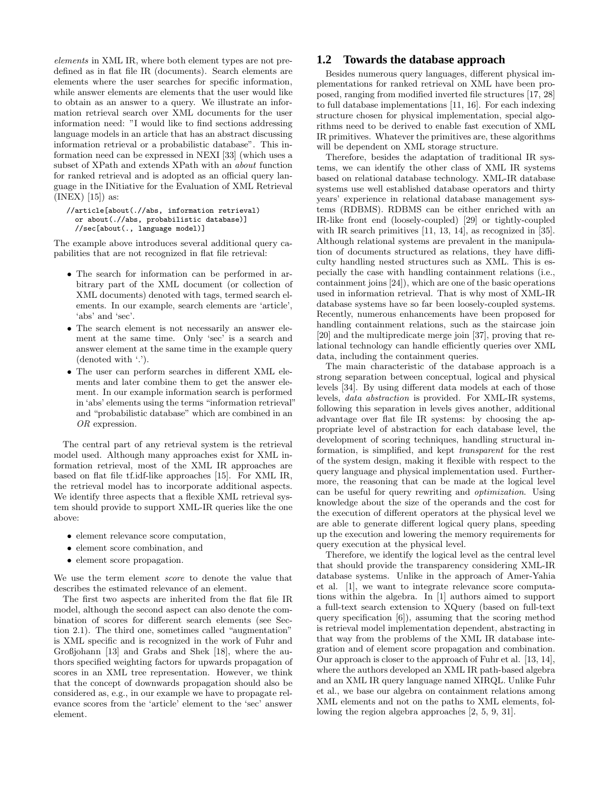elements in XML IR, where both element types are not predefined as in flat file IR (documents). Search elements are elements where the user searches for specific information, while answer elements are elements that the user would like to obtain as an answer to a query. We illustrate an information retrieval search over XML documents for the user information need: "I would like to find sections addressing language models in an article that has an abstract discussing information retrieval or a probabilistic database". This information need can be expressed in NEXI [33] (which uses a subset of XPath and extends XPath with an about function for ranked retrieval and is adopted as an official query language in the INitiative for the Evaluation of XML Retrieval (INEX) [15]) as:

#### //article[about(.//abs, information retrieval) or about(.//abs, probabilistic database)] //sec[about(., language model)]

The example above introduces several additional query capabilities that are not recognized in flat file retrieval:

- The search for information can be performed in arbitrary part of the XML document (or collection of XML documents) denoted with tags, termed search elements. In our example, search elements are 'article', 'abs' and 'sec'.
- The search element is not necessarily an answer element at the same time. Only 'sec' is a search and answer element at the same time in the example query (denoted with '.').
- The user can perform searches in different XML elements and later combine them to get the answer element. In our example information search is performed in 'abs' elements using the terms "information retrieval" and "probabilistic database" which are combined in an OR expression.

The central part of any retrieval system is the retrieval model used. Although many approaches exist for XML information retrieval, most of the XML IR approaches are based on flat file tf.idf-like approaches [15]. For XML IR, the retrieval model has to incorporate additional aspects. We identify three aspects that a flexible XML retrieval system should provide to support XML-IR queries like the one above:

- element relevance score computation,
- element score combination, and
- element score propagation.

We use the term element score to denote the value that describes the estimated relevance of an element.

The first two aspects are inherited from the flat file IR model, although the second aspect can also denote the combination of scores for different search elements (see Section 2.1). The third one, sometimes called "augmentation" is XML specific and is recognized in the work of Fuhr and Großjohann [13] and Grabs and Shek [18], where the authors specified weighting factors for upwards propagation of scores in an XML tree representation. However, we think that the concept of downwards propagation should also be considered as, e.g., in our example we have to propagate relevance scores from the 'article' element to the 'sec' answer element.

## **1.2 Towards the database approach**

Besides numerous query languages, different physical implementations for ranked retrieval on XML have been proposed, ranging from modified inverted file structures [17, 28] to full database implementations [11, 16]. For each indexing structure chosen for physical implementation, special algorithms need to be derived to enable fast execution of XML IR primitives. Whatever the primitives are, these algorithms will be dependent on XML storage structure.

Therefore, besides the adaptation of traditional IR systems, we can identify the other class of XML IR systems based on relational database technology. XML-IR database systems use well established database operators and thirty years' experience in relational database management systems (RDBMS). RDBMS can be either enriched with an IR-like front end (loosely-coupled) [29] or tightly-coupled with IR search primitives [11, 13, 14], as recognized in [35]. Although relational systems are prevalent in the manipulation of documents structured as relations, they have difficulty handling nested structures such as XML. This is especially the case with handling containment relations (i.e., containment joins [24]), which are one of the basic operations used in information retrieval. That is why most of XML-IR database systems have so far been loosely-coupled systems. Recently, numerous enhancements have been proposed for handling containment relations, such as the staircase join [20] and the multipredicate merge join [37], proving that relational technology can handle efficiently queries over XML data, including the containment queries.

The main characteristic of the database approach is a strong separation between conceptual, logical and physical levels [34]. By using different data models at each of those levels, data abstraction is provided. For XML-IR systems, following this separation in levels gives another, additional advantage over flat file IR systems: by choosing the appropriate level of abstraction for each database level, the development of scoring techniques, handling structural information, is simplified, and kept transparent for the rest of the system design, making it flexible with respect to the query language and physical implementation used. Furthermore, the reasoning that can be made at the logical level can be useful for query rewriting and optimization. Using knowledge about the size of the operands and the cost for the execution of different operators at the physical level we are able to generate different logical query plans, speeding up the execution and lowering the memory requirements for query execution at the physical level.

Therefore, we identify the logical level as the central level that should provide the transparency considering XML-IR database systems. Unlike in the approach of Amer-Yahia et al. [1], we want to integrate relevance score computations within the algebra. In [1] authors aimed to support a full-text search extension to XQuery (based on full-text query specification [6]), assuming that the scoring method is retrieval model implementation dependent, abstracting in that way from the problems of the XML IR database integration and of element score propagation and combination. Our approach is closer to the approach of Fuhr et al. [13, 14], where the authors developed an XML IR path-based algebra and an XML IR query language named XIRQL. Unlike Fuhr et al., we base our algebra on containment relations among XML elements and not on the paths to XML elements, following the region algebra approaches [2, 5, 9, 31].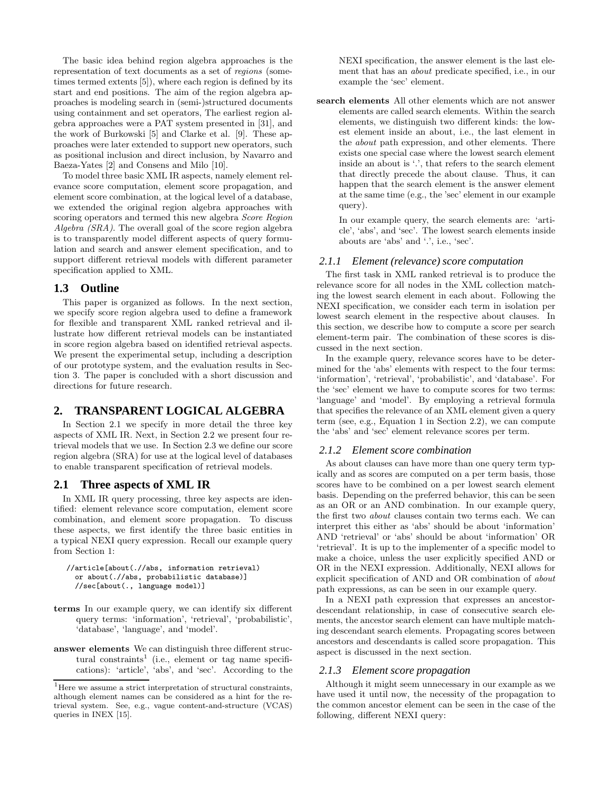The basic idea behind region algebra approaches is the representation of text documents as a set of regions (sometimes termed extents [5]), where each region is defined by its start and end positions. The aim of the region algebra approaches is modeling search in (semi-)structured documents using containment and set operators, The earliest region algebra approaches were a PAT system presented in [31], and the work of Burkowski [5] and Clarke et al. [9]. These approaches were later extended to support new operators, such as positional inclusion and direct inclusion, by Navarro and Baeza-Yates [2] and Consens and Milo [10].

To model three basic XML IR aspects, namely element relevance score computation, element score propagation, and element score combination, at the logical level of a database, we extended the original region algebra approaches with scoring operators and termed this new algebra Score Region Algebra (SRA). The overall goal of the score region algebra is to transparently model different aspects of query formulation and search and answer element specification, and to support different retrieval models with different parameter specification applied to XML.

# **1.3 Outline**

This paper is organized as follows. In the next section, we specify score region algebra used to define a framework for flexible and transparent XML ranked retrieval and illustrate how different retrieval models can be instantiated in score region algebra based on identified retrieval aspects. We present the experimental setup, including a description of our prototype system, and the evaluation results in Section 3. The paper is concluded with a short discussion and directions for future research.

# **2. TRANSPARENT LOGICAL ALGEBRA**

In Section 2.1 we specify in more detail the three key aspects of XML IR. Next, in Section 2.2 we present four retrieval models that we use. In Section 2.3 we define our score region algebra (SRA) for use at the logical level of databases to enable transparent specification of retrieval models.

## **2.1 Three aspects of XML IR**

In XML IR query processing, three key aspects are identified: element relevance score computation, element score combination, and element score propagation. To discuss these aspects, we first identify the three basic entities in a typical NEXI query expression. Recall our example query from Section 1:

```
//article[about(.//abs, information retrieval)
or about(.//abs, probabilistic database)]
//sec[about(., language model)]
```
- terms In our example query, we can identify six different query terms: 'information', 'retrieval', 'probabilistic', 'database', 'language', and 'model'.
- answer elements We can distinguish three different structural constraints<sup>1</sup> (i.e., element or tag name specifications): 'article', 'abs', and 'sec'. According to the

NEXI specification, the answer element is the last element that has an about predicate specified, i.e., in our example the 'sec' element.

search elements All other elements which are not answer elements are called search elements. Within the search elements, we distinguish two different kinds: the lowest element inside an about, i.e., the last element in the about path expression, and other elements. There exists one special case where the lowest search element inside an about is '.', that refers to the search element that directly precede the about clause. Thus, it can happen that the search element is the answer element at the same time (e.g., the 'sec' element in our example query).

In our example query, the search elements are: 'article', 'abs', and 'sec'. The lowest search elements inside abouts are 'abs' and '.', i.e., 'sec'.

#### *2.1.1 Element (relevance) score computation*

The first task in XML ranked retrieval is to produce the relevance score for all nodes in the XML collection matching the lowest search element in each about. Following the NEXI specification, we consider each term in isolation per lowest search element in the respective about clauses. In this section, we describe how to compute a score per search element-term pair. The combination of these scores is discussed in the next section.

In the example query, relevance scores have to be determined for the 'abs' elements with respect to the four terms: 'information', 'retrieval', 'probabilistic', and 'database'. For the 'sec' element we have to compute scores for two terms: 'language' and 'model'. By employing a retrieval formula that specifies the relevance of an XML element given a query term (see, e.g., Equation 1 in Section 2.2), we can compute the 'abs' and 'sec' element relevance scores per term.

## *2.1.2 Element score combination*

As about clauses can have more than one query term typically and as scores are computed on a per term basis, those scores have to be combined on a per lowest search element basis. Depending on the preferred behavior, this can be seen as an OR or an AND combination. In our example query, the first two about clauses contain two terms each. We can interpret this either as 'abs' should be about 'information' AND 'retrieval' or 'abs' should be about 'information' OR 'retrieval'. It is up to the implementer of a specific model to make a choice, unless the user explicitly specified AND or OR in the NEXI expression. Additionally, NEXI allows for explicit specification of AND and OR combination of about path expressions, as can be seen in our example query.

In a NEXI path expression that expresses an ancestordescendant relationship, in case of consecutive search elements, the ancestor search element can have multiple matching descendant search elements. Propagating scores between ancestors and descendants is called score propagation. This aspect is discussed in the next section.

## *2.1.3 Element score propagation*

Although it might seem unnecessary in our example as we have used it until now, the necessity of the propagation to the common ancestor element can be seen in the case of the following, different NEXI query:

 $1$ <sup>1</sup>Here we assume a strict interpretation of structural constraints, although element names can be considered as a hint for the retrieval system. See, e.g., vague content-and-structure (VCAS) queries in INEX [15].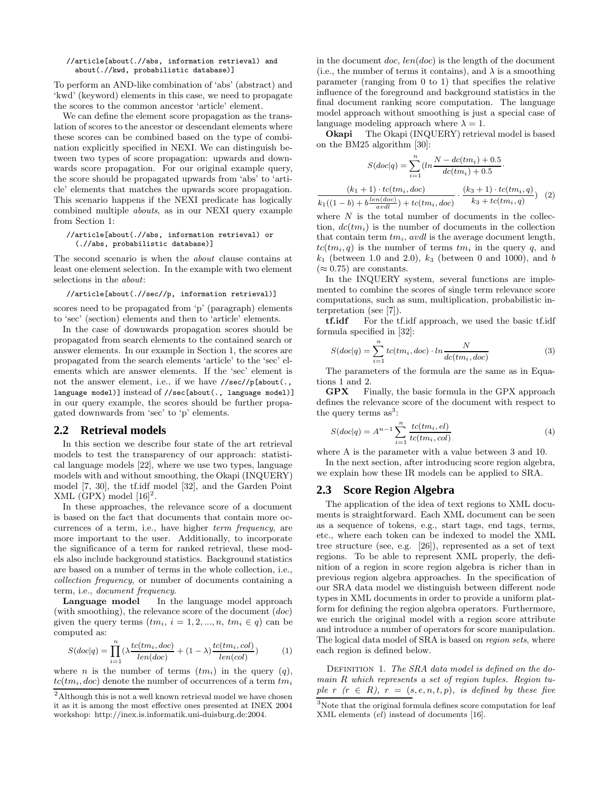#### //article[about(.//abs, information retrieval) and about(.//kwd, probabilistic database)]

To perform an AND-like combination of 'abs' (abstract) and 'kwd' (keyword) elements in this case, we need to propagate the scores to the common ancestor 'article' element.

We can define the element score propagation as the translation of scores to the ancestor or descendant elements where these scores can be combined based on the type of combination explicitly specified in NEXI. We can distinguish between two types of score propagation: upwards and downwards score propagation. For our original example query, the score should be propagated upwards from 'abs' to 'article' elements that matches the upwards score propagation. This scenario happens if the NEXI predicate has logically combined multiple abouts, as in our NEXI query example from Section 1:

#### //article[about(.//abs, information retrieval) or (.//abs, probabilistic database)]

The second scenario is when the about clause contains at least one element selection. In the example with two element selections in the about:

//article[about(.//sec//p, information retrieval)]

scores need to be propagated from 'p' (paragraph) elements to 'sec' (section) elements and then to 'article' elements.

In the case of downwards propagation scores should be propagated from search elements to the contained search or answer elements. In our example in Section 1, the scores are propagated from the search elements 'article' to the 'sec' elements which are answer elements. If the 'sec' element is not the answer element, i.e., if we have //sec//p[about(., language model)] instead of //sec[about(., language model)] in our query example, the scores should be further propagated downwards from 'sec' to 'p' elements.

## **2.2 Retrieval models**

In this section we describe four state of the art retrieval models to test the transparency of our approach: statistical language models [22], where we use two types, language models with and without smoothing, the Okapi (INQUERY) model [7, 30], the tf.idf model [32], and the Garden Point XML (GPX) model  $[16]^2$ .

In these approaches, the relevance score of a document is based on the fact that documents that contain more occurrences of a term, i.e., have higher term frequency, are more important to the user. Additionally, to incorporate the significance of a term for ranked retrieval, these models also include background statistics. Background statistics are based on a number of terms in the whole collection, i.e., collection frequency, or number of documents containing a term, i.e., document frequency.

Language model In the language model approach (with smoothing), the relevance score of the document  $(doc)$ given the query terms  $(tm_i, i = 1, 2, ..., n, tm_i \in q)$  can be computed as:

$$
S(doc|q) = \prod_{i=1}^{n} \left(\lambda \frac{tc(tm_i, doc)}{len(doc)} + (1 - \lambda) \frac{tc(tm_i, col)}{len(cd)}\right)
$$
 (1)

where *n* is the number of terms  $(tm_i)$  in the query  $(q)$ ,  $tc(tm_i, doc)$  denote the number of occurrences of a term  $tm_i$  in the document  $doc$ ,  $len(doc)$  is the length of the document (i.e., the number of terms it contains), and  $\lambda$  is a smoothing parameter (ranging from 0 to 1) that specifies the relative influence of the foreground and background statistics in the final document ranking score computation. The language model approach without smoothing is just a special case of language modeling approach where  $\lambda = 1$ .

Okapi The Okapi (INQUERY) retrieval model is based on the BM25 algorithm [30]:

$$
S(doc|q) = \sum_{i=1}^{n} (ln \frac{N - dc(tm_i) + 0.5}{dc(tm_i) + 0.5}.
$$

$$
\frac{(k_1 + 1) \cdot tc(tm_i, doc)}{k_1((1 - b) + b \frac{len(doc)}{avdl}) + tc(tm_i, doc)} \cdot \frac{(k_3 + 1) \cdot tc(tm_i, q)}{k_3 + tc(tm_i, q)}
$$
(2)

where  $N$  is the total number of documents in the collection,  $dc(tm_i)$  is the number of documents in the collection that contain term  $tm_i$ , avdl is the average document length,  $tc(tm_i, q)$  is the number of terms  $tm_i$  in the query q, and  $k_1$  (between 1.0 and 2.0),  $k_3$  (between 0 and 1000), and b  $(\approx 0.75)$  are constants.

In the INQUERY system, several functions are implemented to combine the scores of single term relevance score computations, such as sum, multiplication, probabilistic interpretation (see [7]).

tf.idf For the tf.idf approach, we used the basic tf.idf formula specified in [32]:

$$
S(doc|q) = \sum_{i=1}^{n} tc(tm_i, doc) \cdot ln \frac{N}{dc(tm_i, doc)}
$$
 (3)

The parameters of the formula are the same as in Equations 1 and 2.

GPX Finally, the basic formula in the GPX approach defines the relevance score of the document with respect to the query terms  $as^3$ :

$$
S(doc|q) = A^{n-1} \sum_{i=1}^{n} \frac{tc(tm_i, el)}{tc(tm_i, col)}
$$
(4)

where A is the parameter with a value between 3 and 10.

In the next section, after introducing score region algebra, we explain how these IR models can be applied to SRA.

## **2.3 Score Region Algebra**

The application of the idea of text regions to XML documents is straightforward. Each XML document can be seen as a sequence of tokens, e.g., start tags, end tags, terms, etc., where each token can be indexed to model the XML tree structure (see, e.g. [26]), represented as a set of text regions. To be able to represent XML properly, the definition of a region in score region algebra is richer than in previous region algebra approaches. In the specification of our SRA data model we distinguish between different node types in XML documents in order to provide a uniform platform for defining the region algebra operators. Furthermore, we enrich the original model with a region score attribute and introduce a number of operators for score manipulation. The logical data model of SRA is based on region sets, where each region is defined below.

DEFINITION 1. The SRA data model is defined on the domain R which represents a set of region tuples. Region tuple r  $(r \in R)$ ,  $r = (s, e, n, t, p)$ , is defined by these five

 $^2$  Although this is not a well known retrieval model we have chosen it as it is among the most effective ones presented at INEX 2004 workshop: http://inex.is.informatik.uni-duisburg.de:2004.

<sup>&</sup>lt;sup>3</sup>Note that the original formula defines score computation for leaf XML elements (el) instead of documents [16].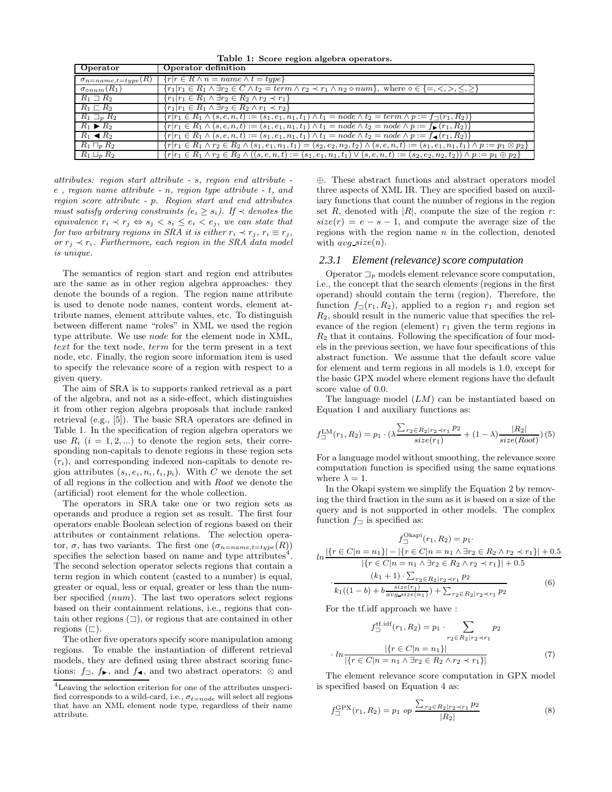Table 1: Score region algebra operators.

| Operator                         | Operator definition                                                                                                                                                     |
|----------------------------------|-------------------------------------------------------------------------------------------------------------------------------------------------------------------------|
| $\sigma_{n = name, t = type}(R)$ | $\{r r \in R \wedge n = name \wedge t = type\}$                                                                                                                         |
| $\sigma_{\diamond num}(R_1)$     | $\{r_1 r_1 \in R_1 \wedge \exists r_2 \in C \wedge t_2 = \text{term} \wedge r_2 \prec r_1 \wedge n_2 \diamond \text{num}\},\,$ where $\diamond \in \{=,<,>,\leq,\geq\}$ |
| $R_1 \supseteq R_2$              | ${r_1 r_1 \in R_1 \wedge \exists r_2 \in R_2 \wedge r_2 \prec r_1}$                                                                                                     |
| $R_1 \sqsubset R_2$              | ${r_1 r_1 \in R_1 \wedge \exists r_2 \in R_2 \wedge r_1 \prec r_2}$                                                                                                     |
| $R_1 \sqsupset_R R_2$            | $\{r r_1 \in R_1 \land (s, e, n, t) := (s_1, e_1, n_1, t_1) \land t_1 = node \land t_2 = term \land p := f_{\Box}(r_1, R_2)\}\$                                         |
| $R_1 \triangleright R_2$         | $\{r r_1 \in R_1 \land (s, e, n, t) := (s_1, e_1, n_1, t_1) \land t_1 = node \land t_2 = node \land p := f_{\blacktriangleright}(r_1, R_2)\}\$                          |
| $R_1 \triangleleft R_2$          | $\{r r_1 \in R_1 \wedge (s, e, n, t) := (s_1, e_1, n_1, t_1) \wedge t_1 = node \wedge t_2 = node \wedge p := f_{\blacktriangleleft}(r_1, R_2)\}\$                       |
| $R_1 \sqcap_n R_2$               | ${r_1r_1 \in R_1 \land r_2 \in R_2 \land (s_1, e_1, n_1, t_1) = (s_2, e_2, n_2, t_2) \land (s, e, n, t) := (s_1, e_1, n_1, t_1) \land p := p_1 \otimes p_2}$            |
| $R_1 \sqcup_p R_2$               | ${r_1r_1 \in R_1 \land r_2 \in R_2 \land ((s, e, n, t) := (s_1, e_1, n_1, t_1) \lor (s, e, n, t) := (s_2, e_2, n_2, t_2)) \land p := p_1 \oplus p_2}$                   |

attributes: region start attribute - s, region end attribute e , region name attribute - n, region type attribute - t, and region score attribute - p. Region start and end attributes must satisfy ordering constraints  $(e_i \geq s_i)$ . If  $\prec$  denotes the equivalence  $r_i \prec r_j \Leftrightarrow s_j \leq s_i \leq e_i \leq e_j$ , we can state that for two arbitrary regions in SRA it is either  $r_i \prec r_j$ ,  $r_i \equiv r_j$ , or  $r_i \prec r_i$ . Furthermore, each region in the SRA data model is unique.

The semantics of region start and region end attributes are the same as in other region algebra approaches: they denote the bounds of a region. The region name attribute is used to denote node names, content words, element attribute names, element attribute values, etc. To distinguish between different name "roles" in XML we used the region type attribute. We use node for the element node in XML, text for the text node, term for the term present in a text node, etc. Finally, the region score information item is used to specify the relevance score of a region with respect to a given query.

The aim of SRA is to supports ranked retrieval as a part of the algebra, and not as a side-effect, which distinguishes it from other region algebra proposals that include ranked retrieval (e.g., [5]). The basic SRA operators are defined in Table 1. In the specification of region algebra operators we use  $R_i$   $(i = 1, 2, ...)$  to denote the region sets, their corresponding non-capitals to denote regions in these region sets  $(r_i)$ , and corresponding indexed non-capitals to denote region attributes  $(s_i, e_i, n_i, t_i, p_i)$ . With C we denote the set of all regions in the collection and with Root we denote the (artificial) root element for the whole collection.

The operators in SRA take one or two region sets as operands and produce a region set as result. The first four operators enable Boolean selection of regions based on their attributes or containment relations. The selection operator,  $\sigma$ , has two variants. The first one  $(\sigma_{n=name, t=type}(R))$ specifies the selection based on name and type attributes<sup>4</sup>. The second selection operator selects regions that contain a term region in which content (casted to a number) is equal, greater or equal, less or equal, greater or less than the number specified (num). The last two operators select regions based on their containment relations, i.e., regions that contain other regions  $(\square)$ , or regions that are contained in other regions  $(\sqsubset).$ 

The other five operators specify score manipulation among regions. To enable the instantiation of different retrieval models, they are defined using three abstract scoring functions:  $f_\Box$ ,  $f_\blacktriangleright$ , and  $f_\blacktriangleleft$ , and two abstract operators:  $\otimes$  and

⊕. These abstract functions and abstract operators model three aspects of XML IR. They are specified based on auxiliary functions that count the number of regions in the region set R, denoted with  $|R|$ , compute the size of the region r:  $size(r) = e - s - 1$ , and compute the average size of the regions with the region name  $n$  in the collection, denoted with  $avg\_size(n)$ .

#### *2.3.1 Element (relevance) score computation*

Operator  $\Box_p$  models element relevance score computation, i.e., the concept that the search elements (regions in the first operand) should contain the term (region). Therefore, the function  $f_{\square}(r_1, R_2)$ , applied to a region  $r_1$  and region set  $R_2$ , should result in the numeric value that specifies the relevance of the region (element)  $r_1$  given the term regions in  $R_2$  that it contains. Following the specification of four models in the previous section, we have four specifications of this abstract function. We assume that the default score value for element and term regions in all models is 1.0, except for the basic GPX model where element regions have the default score value of 0.0.

The language model  $(LM)$  can be instantiated based on Equation 1 and auxiliary functions as:

$$
f_{\square}^{\text{LM}}(r_1, R_2) = p_1 \cdot (\lambda \frac{\sum_{r_2 \in R_2 | r_2 \prec r_1} p_2}{size(r_1)} + (1 - \lambda) \frac{|R_2|}{size(Root)}) (5)
$$

For a language model without smoothing, the relevance score computation function is specified using the same equations where  $\lambda = 1$ .

In the Okapi system we simplify the Equation 2 by removing the third fraction in the sum as it is based on a size of the query and is not supported in other models. The complex function  $f_{\square}$  is specified as:

$$
f_{\square}^{\text{Okapi}}(r_1, R_2) = p_1.
$$
  
\n
$$
ln \frac{|\{r \in C | n = n_1\}| - |\{r \in C | n = n_1 \land \exists r_2 \in R_2 \land r_2 \prec r_1\}| + 0.5|}{|\{r \in C | n = n_1 \land \exists r_2 \in R_2 \land r_2 \prec r_1\}| + 0.5|}
$$
  
\n
$$
\cdot \frac{(k_1 + 1) \cdot \sum_{r_2 \in R_2 | r_2 \prec r_1} p_2}{k_1((1 - b) + b \frac{size(r_1)}{avg\_size(n_1)}) + \sum_{r_2 \in R_2 | r_2 \prec r_1} p_2}
$$
(6)

For the tf.idf approach we have :

$$
f_{\square}^{\text{tf.idf}}(r_1, R_2) = p_1 \cdot \sum_{r_2 \in R_2 | r_2 \prec r_1} p_2
$$

$$
\cdot \ln \frac{|\{r \in C | n = n_1\}|}{|\{r \in C | n = n_1 \land \exists r_2 \in R_2 \land r_2 \prec r_1\}|} \tag{7}
$$

The element relevance score computation in GPX model is specified based on Equation 4 as:

$$
f_{\square}^{\text{GPX}}(r_1, R_2) = p_1 \text{ op } \frac{\sum_{r_2 \in R_2 | r_2 \prec r_1} p_2}{|R_2|} \tag{8}
$$

<sup>4</sup>Leaving the selection criterion for one of the attributes unspecified corresponds to a wild-card, i.e.,  $\sigma_{t=node}$  will select all regions that have an XML element node type, regardless of their name attribute.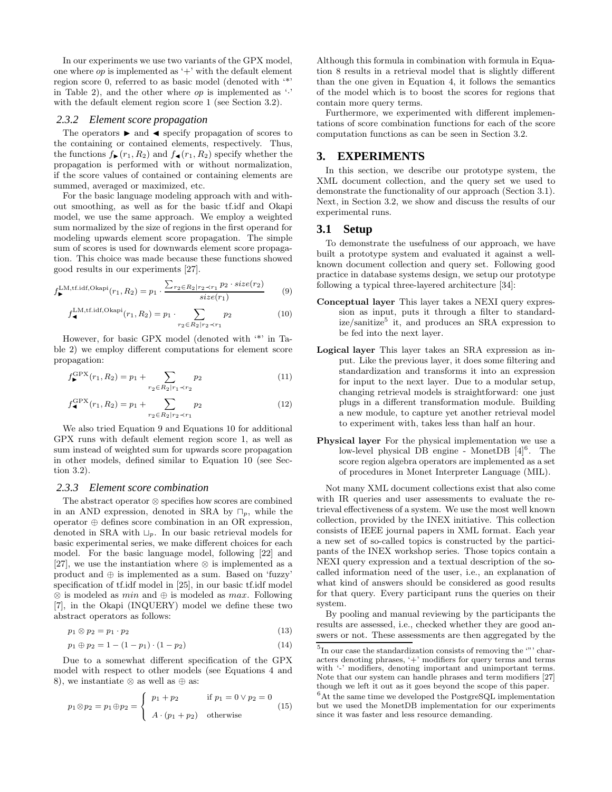In our experiments we use two variants of the GPX model, one where  $op$  is implemented as '+' with the default element region score 0, referred to as basic model (denoted with '\*' in Table 2), and the other where  $op$  is implemented as  $\cdot$ . with the default element region score 1 (see Section 3.2).

#### *2.3.2 Element score propagation*

The operators  $\blacktriangleright$  and  $\blacktriangleleft$  specify propagation of scores to the containing or contained elements, respectively. Thus, the functions  $f_{\blacktriangleright}(r_1, R_2)$  and  $f_{\blacktriangleleft}(r_1, R_2)$  specify whether the propagation is performed with or without normalization, if the score values of contained or containing elements are summed, averaged or maximized, etc.

For the basic language modeling approach with and without smoothing, as well as for the basic tf.idf and Okapi model, we use the same approach. We employ a weighted sum normalized by the size of regions in the first operand for modeling upwards element score propagation. The simple sum of scores is used for downwards element score propagation. This choice was made because these functions showed good results in our experiments [27].

$$
f_{\blacktriangleright}^{\text{LM},\text{tf.idf},\text{Okapi}}(r_1, R_2) = p_1 \cdot \frac{\sum_{r_2 \in R_2 | r_2 \prec r_1} p_2 \cdot size(r_2)}{size(r_1)} \tag{9}
$$

$$
f_{\blacktriangleleft}^{\text{LM},\text{tf},\text{idf},\text{Okapi}}(r_1,R_2) = p_1 \cdot \sum_{r_2 \in R_2 \mid r_2 \prec r_1} p_2 \tag{10}
$$

However, for basic GPX model (denoted with '\*' in Table 2) we employ different computations for element score propagation:

$$
f_{\blacktriangleright}^{\text{GPX}}(r_1, R_2) = p_1 + \sum_{r_2 \in R_2 | r_1 \prec r_2} p_2 \tag{11}
$$

$$
f_{\blacktriangleleft}^{\text{GPX}}(r_1, R_2) = p_1 + \sum_{r_2 \in R_2 | r_2 \prec r_1} p_2 \tag{12}
$$

We also tried Equation 9 and Equations 10 for additional GPX runs with default element region score 1, as well as sum instead of weighted sum for upwards score propagation in other models, defined similar to Equation 10 (see Section 3.2).

#### *2.3.3 Element score combination*

The abstract operator ⊗ specifies how scores are combined in an AND expression, denoted in SRA by  $\Box_p$ , while the operator ⊕ defines score combination in an OR expression, denoted in SRA with  $\Box_p$ . In our basic retrieval models for basic experimental series, we make different choices for each model. For the basic language model, following [22] and [27], we use the instantiation where ⊗ is implemented as a product and  $\oplus$  is implemented as a sum. Based on 'fuzzy' specification of tf.idf model in [25], in our basic tf.idf model  $\otimes$  is modeled as min and  $\oplus$  is modeled as max. Following [7], in the Okapi (INQUERY) model we define these two abstract operators as follows:

$$
p_1 \otimes p_2 = p_1 \cdot p_2 \tag{13}
$$

$$
p_1 \oplus p_2 = 1 - (1 - p_1) \cdot (1 - p_2) \tag{14}
$$

Due to a somewhat different specification of the GPX model with respect to other models (see Equations 4 and 8), we instantiate  $\otimes$  as well as  $\oplus$  as:

$$
p_1 \otimes p_2 = p_1 \oplus p_2 = \begin{cases} p_1 + p_2 & \text{if } p_1 = 0 \vee p_2 = 0 \\ A \cdot (p_1 + p_2) & \text{otherwise} \end{cases}
$$
(15)

Although this formula in combination with formula in Equation 8 results in a retrieval model that is slightly different than the one given in Equation 4, it follows the semantics of the model which is to boost the scores for regions that contain more query terms.

Furthermore, we experimented with different implementations of score combination functions for each of the score computation functions as can be seen in Section 3.2.

# **3. EXPERIMENTS**

In this section, we describe our prototype system, the XML document collection, and the query set we used to demonstrate the functionality of our approach (Section 3.1). Next, in Section 3.2, we show and discuss the results of our experimental runs.

## **3.1 Setup**

To demonstrate the usefulness of our approach, we have built a prototype system and evaluated it against a wellknown document collection and query set. Following good practice in database systems design, we setup our prototype following a typical three-layered architecture [34]:

- Conceptual layer This layer takes a NEXI query expression as input, puts it through a filter to standardize/sanitize<sup>5</sup> it, and produces an SRA expression to be fed into the next layer.
- Logical layer This layer takes an SRA expression as input. Like the previous layer, it does some filtering and standardization and transforms it into an expression for input to the next layer. Due to a modular setup, changing retrieval models is straightforward: one just plugs in a different transformation module. Building a new module, to capture yet another retrieval model to experiment with, takes less than half an hour.
- Physical layer For the physical implementation we use a low-level physical DB engine - MonetDB  $[4]^{6}$ . The score region algebra operators are implemented as a set of procedures in Monet Interpreter Language (MIL).

Not many XML document collections exist that also come with IR queries and user assessments to evaluate the retrieval effectiveness of a system. We use the most well known collection, provided by the INEX initiative. This collection consists of IEEE journal papers in XML format. Each year a new set of so-called topics is constructed by the participants of the INEX workshop series. Those topics contain a NEXI query expression and a textual description of the socalled information need of the user, i.e., an explanation of what kind of answers should be considered as good results for that query. Every participant runs the queries on their system.

By pooling and manual reviewing by the participants the results are assessed, i.e., checked whether they are good answers or not. These assessments are then aggregated by the

 ${}^{5}$ In our case the standardization consists of removing the '"' characters denoting phrases, '+' modifiers for query terms and terms with  $\cdot$  modifiers, denoting important and unimportant terms. Note that our system can handle phrases and term modifiers [27] though we left it out as it goes beyond the scope of this paper.

 ${}^{6}$ At the same time we developed the PostgreSQL implementation but we used the MonetDB implementation for our experiments since it was faster and less resource demanding.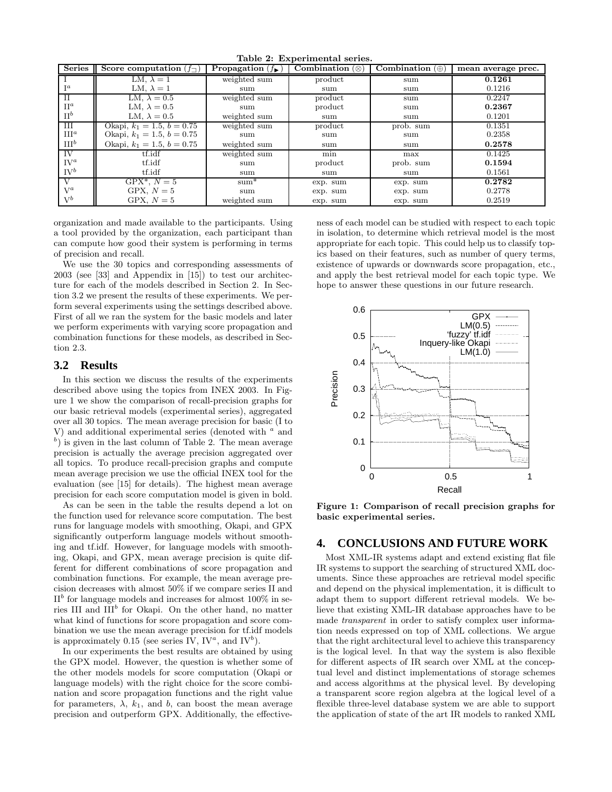| rapic 2. Experimental series. |                                     |                                    |                                |                        |                    |  |  |
|-------------------------------|-------------------------------------|------------------------------------|--------------------------------|------------------------|--------------------|--|--|
| Series                        | Score computation $(f_{\sqsupset})$ | <b>Propagation</b> $(f_{\bullet})$ | <b>Combination</b> $(\otimes)$ | Combination $(\oplus)$ | mean average prec. |  |  |
|                               | LM, $\lambda = 1$                   | weighted sum                       | product                        | sum                    | 0.1261             |  |  |
| $I^a$                         | LM, $\lambda = 1$                   | sum                                | sum                            | sum                    | 0.1216             |  |  |
| $_{\rm II}$                   | LM, $\lambda = 0.5$                 | weighted sum                       | product                        | sum                    | 0.2247             |  |  |
| $\Pi^a$                       | LM, $\lambda = 0.5$                 | sum                                | product                        | sum                    | 0.2367             |  |  |
| $\Pi^b$                       | LM, $\lambda = 0.5$                 | weighted sum                       | sum                            | sum                    | 0.1201             |  |  |
| Ш                             | Okapi, $k_1 = 1.5, b = 0.75$        | weighted sum                       | product                        | prob. sum              | 0.1351             |  |  |
| $\text{III}^a$                | Okapi, $k_1 = 1.5, b = 0.75$        | sum                                | sum                            | sum                    | 0.2358             |  |  |
| III <sup>b</sup>              | Okapi, $k_1 = 1.5, b = 0.75$        | weighted sum                       | sum                            | sum                    | 0.2578             |  |  |
| IV                            | tf.idf                              | weighted sum                       | min                            | max                    | 0.1425             |  |  |
| $\mathrm{IV}^a$               | tf.idf                              | sum                                | product                        | prob. sum              | 0.1594             |  |  |
| $\mathrm{IV}^b$               | tf.idf                              | sum                                | sum                            | sum                    | 0.1561             |  |  |
| V                             | $GPX^*$ , $N=5$                     | $sum^*$                            | exp. sum                       | exp. sum               | 0.2782             |  |  |
| $V^a$                         | GPX, $N=5$                          | sum                                | exp. sum                       | exp. sum               | 0.2778             |  |  |
| $V^b$                         | GPX, $N=5$                          | weighted sum                       | exp. sum                       | exp. sum               | 0.2519             |  |  |

Table 2: Experimental series.

organization and made available to the participants. Using a tool provided by the organization, each participant than can compute how good their system is performing in terms of precision and recall.

We use the 30 topics and corresponding assessments of 2003 (see [33] and Appendix in [15]) to test our architecture for each of the models described in Section 2. In Section 3.2 we present the results of these experiments. We perform several experiments using the settings described above. First of all we ran the system for the basic models and later we perform experiments with varying score propagation and combination functions for these models, as described in Section 2.3.

## **3.2 Results**

In this section we discuss the results of the experiments described above using the topics from INEX 2003. In Figure 1 we show the comparison of recall-precision graphs for our basic retrieval models (experimental series), aggregated over all 30 topics. The mean average precision for basic (I to V) and additional experimental series (denoted with  $a$  and  $(b)$  is given in the last column of Table 2. The mean average precision is actually the average precision aggregated over all topics. To produce recall-precision graphs and compute mean average precision we use the official INEX tool for the evaluation (see [15] for details). The highest mean average precision for each score computation model is given in bold.

As can be seen in the table the results depend a lot on the function used for relevance score computation. The best runs for language models with smoothing, Okapi, and GPX significantly outperform language models without smoothing and tf.idf. However, for language models with smoothing, Okapi, and GPX, mean average precision is quite different for different combinations of score propagation and combination functions. For example, the mean average precision decreases with almost 50% if we compare series II and  $\Pi^b$  for language models and increases for almost 100% in series III and III<sup>b</sup> for Okapi. On the other hand, no matter what kind of functions for score propagation and score combination we use the mean average precision for tf.idf models is approximately 0.15 (see series IV,  $IV^a$ , and  $IV^b$ ).

In our experiments the best results are obtained by using the GPX model. However, the question is whether some of the other models models for score computation (Okapi or language models) with the right choice for the score combination and score propagation functions and the right value for parameters,  $\lambda$ ,  $k_1$ , and b, can boost the mean average precision and outperform GPX. Additionally, the effectiveness of each model can be studied with respect to each topic in isolation, to determine which retrieval model is the most appropriate for each topic. This could help us to classify topics based on their features, such as number of query terms, existence of upwards or downwards score propagation, etc., and apply the best retrieval model for each topic type. We hope to answer these questions in our future research.



Figure 1: Comparison of recall precision graphs for basic experimental series.

# **4. CONCLUSIONS AND FUTURE WORK**

Most XML-IR systems adapt and extend existing flat file IR systems to support the searching of structured XML documents. Since these approaches are retrieval model specific and depend on the physical implementation, it is difficult to adapt them to support different retrieval models. We believe that existing XML-IR database approaches have to be made transparent in order to satisfy complex user information needs expressed on top of XML collections. We argue that the right architectural level to achieve this transparency is the logical level. In that way the system is also flexible for different aspects of IR search over XML at the conceptual level and distinct implementations of storage schemes and access algorithms at the physical level. By developing a transparent score region algebra at the logical level of a flexible three-level database system we are able to support the application of state of the art IR models to ranked XML